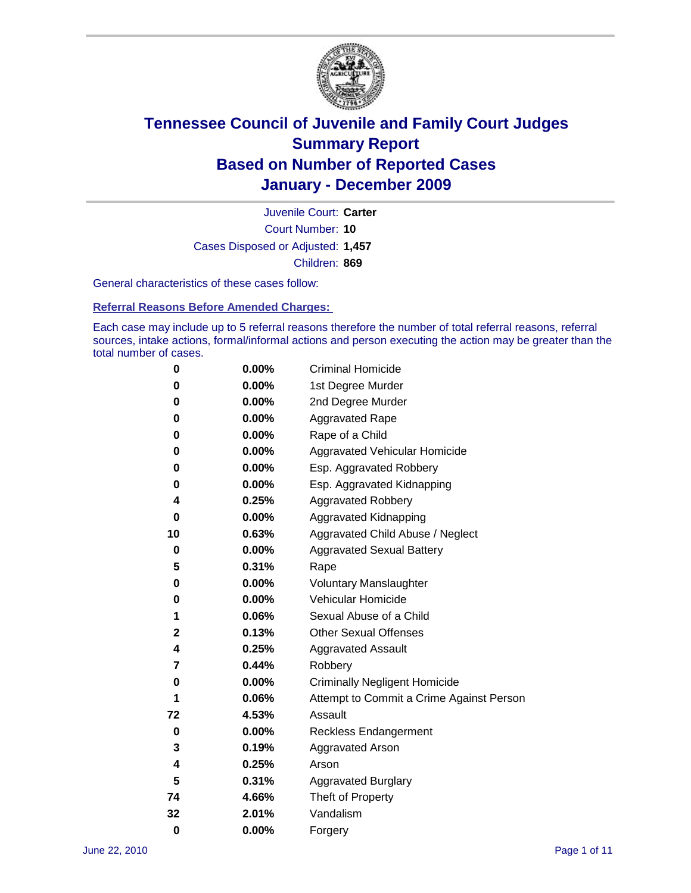

Court Number: **10** Juvenile Court: **Carter** Cases Disposed or Adjusted: **1,457** Children: **869**

General characteristics of these cases follow:

**Referral Reasons Before Amended Charges:** 

Each case may include up to 5 referral reasons therefore the number of total referral reasons, referral sources, intake actions, formal/informal actions and person executing the action may be greater than the total number of cases.

| 0  | 0.00%    | <b>Criminal Homicide</b>                 |
|----|----------|------------------------------------------|
| 0  | 0.00%    | 1st Degree Murder                        |
| 0  | 0.00%    | 2nd Degree Murder                        |
| 0  | 0.00%    | <b>Aggravated Rape</b>                   |
| 0  | 0.00%    | Rape of a Child                          |
| 0  | 0.00%    | Aggravated Vehicular Homicide            |
| 0  | 0.00%    | Esp. Aggravated Robbery                  |
| 0  | 0.00%    | Esp. Aggravated Kidnapping               |
| 4  | 0.25%    | <b>Aggravated Robbery</b>                |
| 0  | 0.00%    | Aggravated Kidnapping                    |
| 10 | 0.63%    | Aggravated Child Abuse / Neglect         |
| 0  | $0.00\%$ | <b>Aggravated Sexual Battery</b>         |
| 5  | 0.31%    | Rape                                     |
| 0  | 0.00%    | <b>Voluntary Manslaughter</b>            |
| 0  | 0.00%    | Vehicular Homicide                       |
| 1  | 0.06%    | Sexual Abuse of a Child                  |
| 2  | 0.13%    | <b>Other Sexual Offenses</b>             |
| 4  | 0.25%    | <b>Aggravated Assault</b>                |
| 7  | 0.44%    | Robbery                                  |
| 0  | 0.00%    | <b>Criminally Negligent Homicide</b>     |
| 1  | 0.06%    | Attempt to Commit a Crime Against Person |
| 72 | 4.53%    | Assault                                  |
| 0  | 0.00%    | <b>Reckless Endangerment</b>             |
| 3  | 0.19%    | <b>Aggravated Arson</b>                  |
| 4  | 0.25%    | Arson                                    |
| 5  | 0.31%    | <b>Aggravated Burglary</b>               |
| 74 | 4.66%    | Theft of Property                        |
| 32 | 2.01%    | Vandalism                                |
| 0  | 0.00%    | Forgery                                  |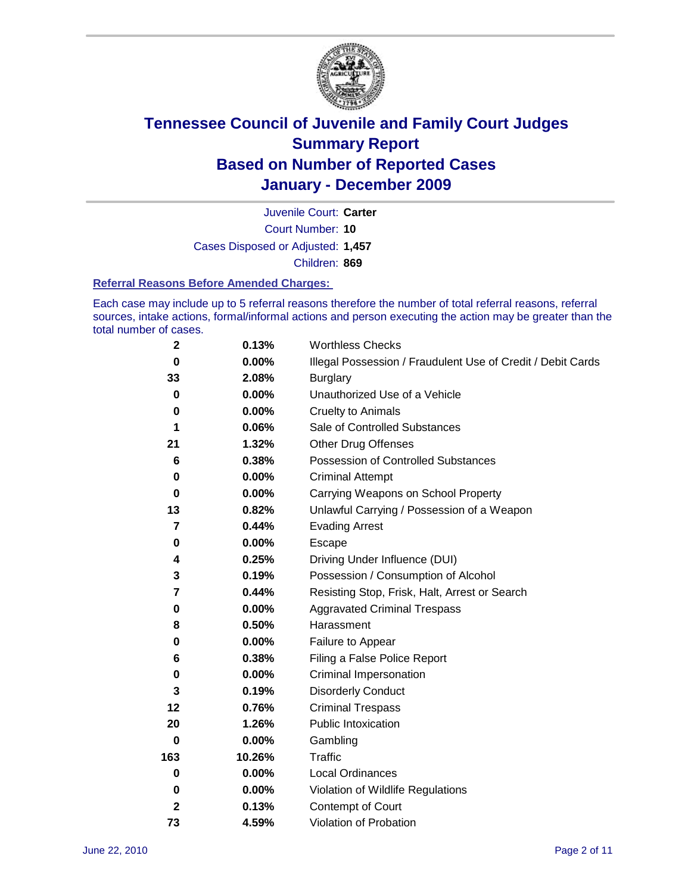

Court Number: **10** Juvenile Court: **Carter** Cases Disposed or Adjusted: **1,457** Children: **869**

#### **Referral Reasons Before Amended Charges:**

Each case may include up to 5 referral reasons therefore the number of total referral reasons, referral sources, intake actions, formal/informal actions and person executing the action may be greater than the total number of cases.

| $\boldsymbol{2}$ | 0.13%    | <b>Worthless Checks</b>                                     |
|------------------|----------|-------------------------------------------------------------|
| $\bf{0}$         | 0.00%    | Illegal Possession / Fraudulent Use of Credit / Debit Cards |
| 33               | 2.08%    | <b>Burglary</b>                                             |
| $\bf{0}$         | $0.00\%$ | Unauthorized Use of a Vehicle                               |
| 0                | $0.00\%$ | <b>Cruelty to Animals</b>                                   |
| 1                | 0.06%    | Sale of Controlled Substances                               |
| 21               | 1.32%    | <b>Other Drug Offenses</b>                                  |
| 6                | 0.38%    | Possession of Controlled Substances                         |
| 0                | $0.00\%$ | <b>Criminal Attempt</b>                                     |
| 0                | 0.00%    | Carrying Weapons on School Property                         |
| 13               | 0.82%    | Unlawful Carrying / Possession of a Weapon                  |
| 7                | 0.44%    | <b>Evading Arrest</b>                                       |
| 0                | 0.00%    | Escape                                                      |
| 4                | 0.25%    | Driving Under Influence (DUI)                               |
| 3                | 0.19%    | Possession / Consumption of Alcohol                         |
| 7                | 0.44%    | Resisting Stop, Frisk, Halt, Arrest or Search               |
| 0                | $0.00\%$ | <b>Aggravated Criminal Trespass</b>                         |
| 8                | 0.50%    | Harassment                                                  |
| 0                | 0.00%    | Failure to Appear                                           |
| 6                | 0.38%    | Filing a False Police Report                                |
| 0                | 0.00%    | Criminal Impersonation                                      |
| 3                | 0.19%    | <b>Disorderly Conduct</b>                                   |
| 12               | 0.76%    | <b>Criminal Trespass</b>                                    |
| 20               | 1.26%    | <b>Public Intoxication</b>                                  |
| 0                | $0.00\%$ | Gambling                                                    |
| 163              | 10.26%   | <b>Traffic</b>                                              |
| 0                | $0.00\%$ | Local Ordinances                                            |
| 0                | 0.00%    | Violation of Wildlife Regulations                           |
| $\mathbf{2}$     | 0.13%    | Contempt of Court                                           |
| 73               | 4.59%    | Violation of Probation                                      |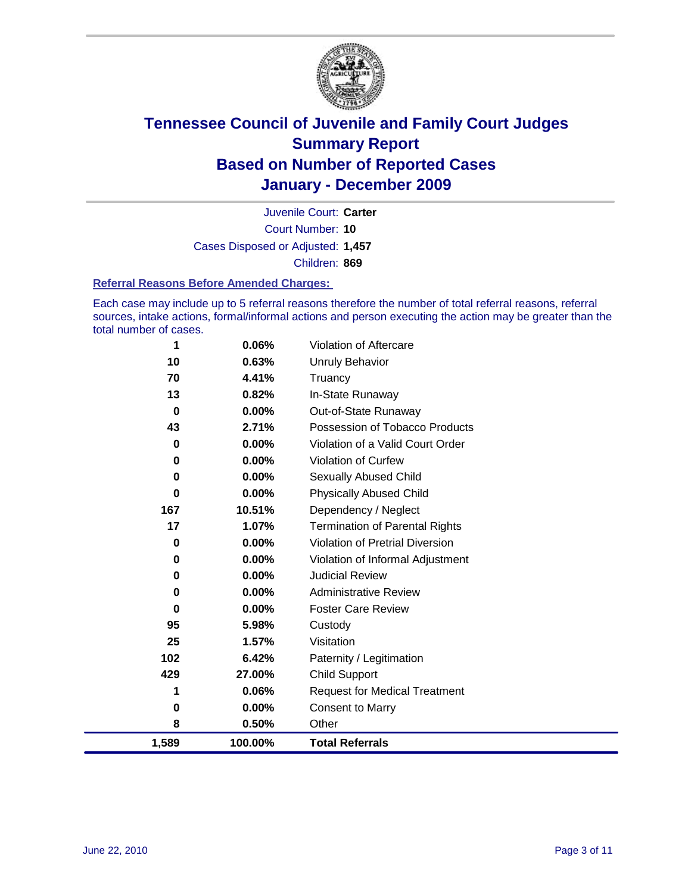

Court Number: **10** Juvenile Court: **Carter** Cases Disposed or Adjusted: **1,457** Children: **869**

#### **Referral Reasons Before Amended Charges:**

Each case may include up to 5 referral reasons therefore the number of total referral reasons, referral sources, intake actions, formal/informal actions and person executing the action may be greater than the total number of cases.

| 1           | 0.06%    | Violation of Aftercare                 |
|-------------|----------|----------------------------------------|
| 10          | 0.63%    | <b>Unruly Behavior</b>                 |
| 70          | 4.41%    | Truancy                                |
| 13          | 0.82%    | In-State Runaway                       |
| $\bf{0}$    | 0.00%    | Out-of-State Runaway                   |
| 43          | 2.71%    | Possession of Tobacco Products         |
| 0           | 0.00%    | Violation of a Valid Court Order       |
| 0           | 0.00%    | <b>Violation of Curfew</b>             |
| $\bf{0}$    | $0.00\%$ | Sexually Abused Child                  |
| $\bf{0}$    | 0.00%    | <b>Physically Abused Child</b>         |
| 167         | 10.51%   | Dependency / Neglect                   |
| 17          | 1.07%    | <b>Termination of Parental Rights</b>  |
| $\mathbf 0$ | 0.00%    | <b>Violation of Pretrial Diversion</b> |
| 0           | 0.00%    | Violation of Informal Adjustment       |
| 0           | 0.00%    | <b>Judicial Review</b>                 |
| 0           | 0.00%    | <b>Administrative Review</b>           |
| 0           | 0.00%    | <b>Foster Care Review</b>              |
| 95          | 5.98%    | Custody                                |
| 25          | 1.57%    | Visitation                             |
| 102         | 6.42%    | Paternity / Legitimation               |
| 429         | 27.00%   | Child Support                          |
| 1           | 0.06%    | <b>Request for Medical Treatment</b>   |
| 0           | 0.00%    | <b>Consent to Marry</b>                |
| 8           | 0.50%    | Other                                  |
| 1,589       | 100.00%  | <b>Total Referrals</b>                 |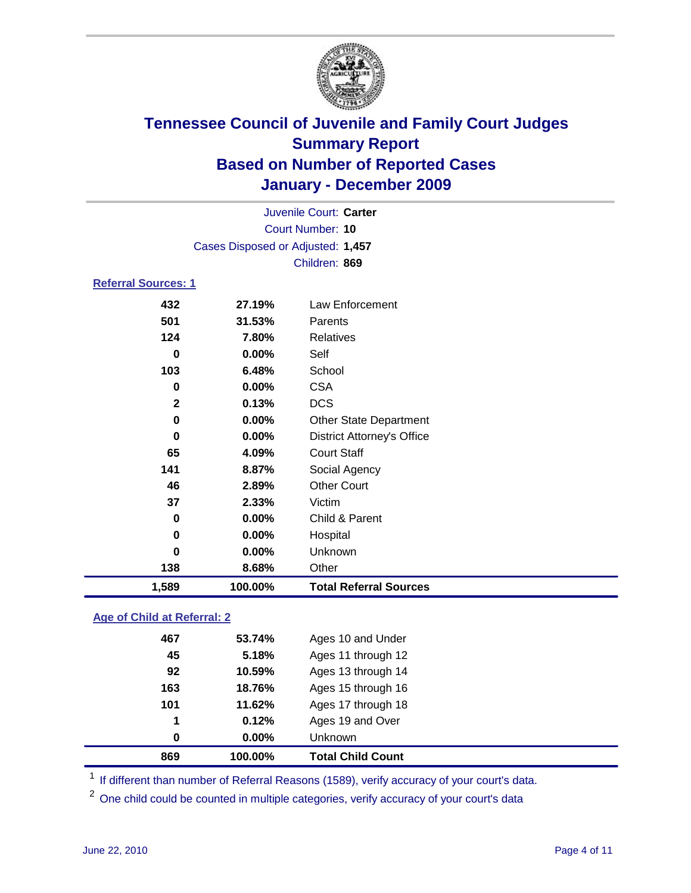

|                            |                                   | Juvenile Court: Carter            |
|----------------------------|-----------------------------------|-----------------------------------|
|                            |                                   | Court Number: 10                  |
|                            | Cases Disposed or Adjusted: 1,457 |                                   |
|                            |                                   | Children: 869                     |
| <b>Referral Sources: 1</b> |                                   |                                   |
| 432                        | 27.19%                            | Law Enforcement                   |
| 501                        | 31.53%                            | Parents                           |
| 124                        | 7.80%                             | <b>Relatives</b>                  |
| 0                          | 0.00%                             | Self                              |
| 103                        | 6.48%                             | School                            |
| 0                          | 0.00%                             | <b>CSA</b>                        |
| $\mathbf{2}$               | 0.13%                             | <b>DCS</b>                        |
| $\mathbf 0$                | 0.00%                             | <b>Other State Department</b>     |
| 0                          | 0.00%                             | <b>District Attorney's Office</b> |
| 65                         | 4.09%                             | <b>Court Staff</b>                |
| 141                        | 8.87%                             | Social Agency                     |
| 46                         | 2.89%                             | <b>Other Court</b>                |
| 37                         | 2.33%                             | Victim                            |
| 0                          | 0.00%                             | Child & Parent                    |
| 0                          | 0.00%                             | Hospital                          |
| $\bf{0}$                   | 0.00%                             | Unknown                           |
| 138                        | 8.68%                             | Other                             |
| 1,589                      | 100.00%                           | <b>Total Referral Sources</b>     |

### **Age of Child at Referral: 2**

| 869 | 100.00% | <b>Total Child Count</b> |
|-----|---------|--------------------------|
| 0   | 0.00%   | <b>Unknown</b>           |
| 1   | 0.12%   | Ages 19 and Over         |
| 101 | 11.62%  | Ages 17 through 18       |
| 163 | 18.76%  | Ages 15 through 16       |
| 92  | 10.59%  | Ages 13 through 14       |
| 45  | 5.18%   | Ages 11 through 12       |
| 467 | 53.74%  | Ages 10 and Under        |
|     |         |                          |

<sup>1</sup> If different than number of Referral Reasons (1589), verify accuracy of your court's data.

One child could be counted in multiple categories, verify accuracy of your court's data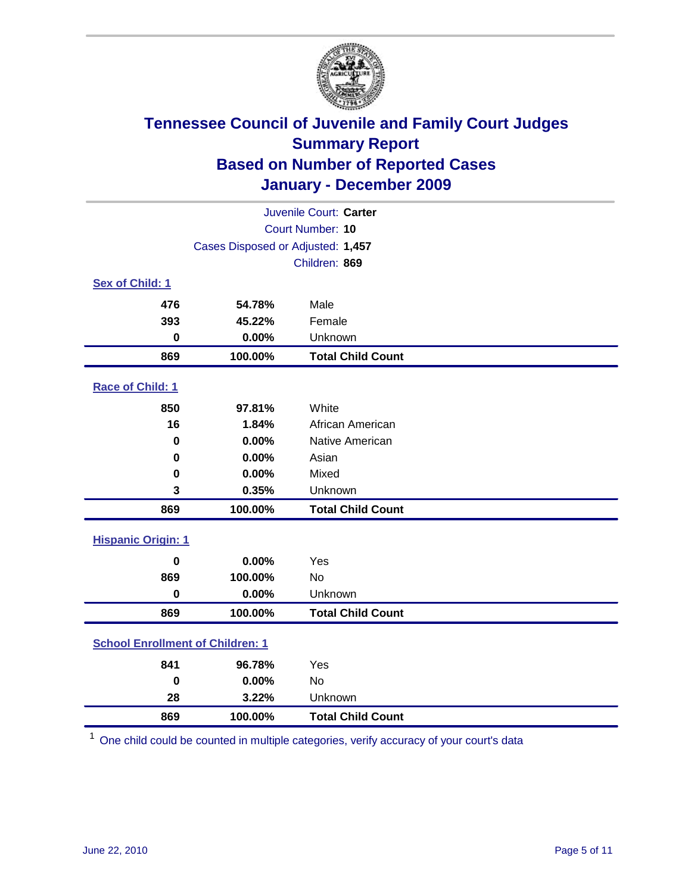

| Juvenile Court: Carter                  |                                   |                          |  |  |  |
|-----------------------------------------|-----------------------------------|--------------------------|--|--|--|
|                                         | <b>Court Number: 10</b>           |                          |  |  |  |
|                                         | Cases Disposed or Adjusted: 1,457 |                          |  |  |  |
|                                         |                                   | Children: 869            |  |  |  |
| Sex of Child: 1                         |                                   |                          |  |  |  |
| 476                                     | 54.78%                            | Male                     |  |  |  |
| 393                                     | 45.22%                            | Female                   |  |  |  |
| $\bf{0}$                                | 0.00%                             | Unknown                  |  |  |  |
| 869                                     | 100.00%                           | <b>Total Child Count</b> |  |  |  |
| Race of Child: 1                        |                                   |                          |  |  |  |
| 850                                     | 97.81%                            | White                    |  |  |  |
| 16                                      | 1.84%                             | African American         |  |  |  |
| 0                                       | 0.00%                             | Native American          |  |  |  |
| 0                                       | 0.00%                             | Asian                    |  |  |  |
| $\mathbf 0$                             | 0.00%                             | Mixed                    |  |  |  |
| 3                                       | 0.35%                             | Unknown                  |  |  |  |
| 869                                     | 100.00%                           | <b>Total Child Count</b> |  |  |  |
| <b>Hispanic Origin: 1</b>               |                                   |                          |  |  |  |
| $\mathbf 0$                             | 0.00%                             | Yes                      |  |  |  |
| 869                                     | 100.00%                           | <b>No</b>                |  |  |  |
| $\mathbf 0$                             | 0.00%                             | Unknown                  |  |  |  |
| 869                                     | 100.00%                           | <b>Total Child Count</b> |  |  |  |
| <b>School Enrollment of Children: 1</b> |                                   |                          |  |  |  |
| 841                                     | 96.78%                            | Yes                      |  |  |  |
| $\mathbf 0$                             | 0.00%                             | No                       |  |  |  |
| 28                                      | 3.22%                             | Unknown                  |  |  |  |
| 869                                     | 100.00%                           | <b>Total Child Count</b> |  |  |  |

One child could be counted in multiple categories, verify accuracy of your court's data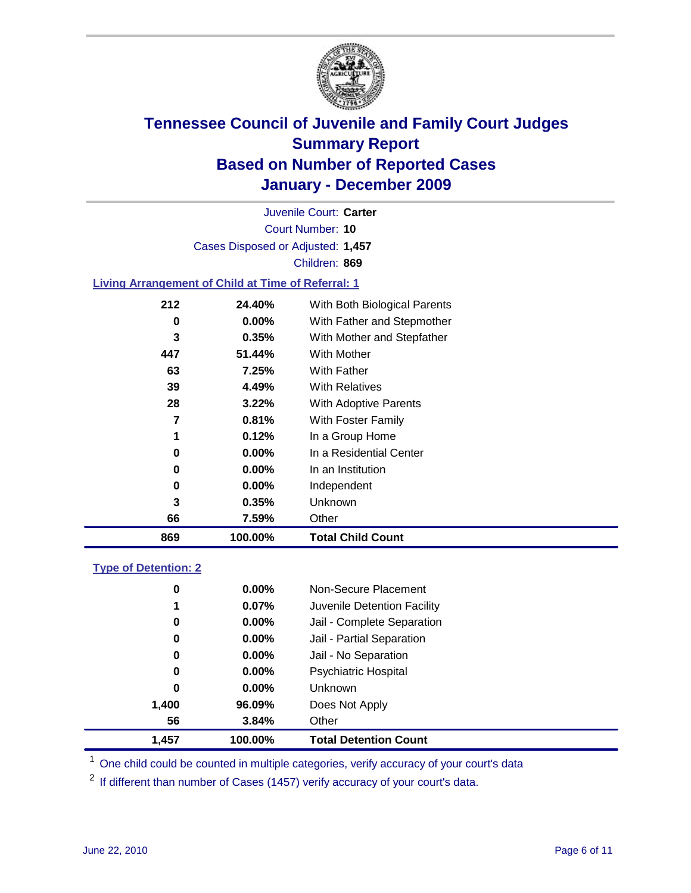

Court Number: **10** Juvenile Court: **Carter** Cases Disposed or Adjusted: **1,457** Children: **869**

### **Living Arrangement of Child at Time of Referral: 1**

| 869 | 100.00%  | <b>Total Child Count</b>     |
|-----|----------|------------------------------|
| 66  | 7.59%    | Other                        |
| 3   | 0.35%    | Unknown                      |
| 0   | $0.00\%$ | Independent                  |
| 0   | $0.00\%$ | In an Institution            |
| 0   | $0.00\%$ | In a Residential Center      |
| 1   | 0.12%    | In a Group Home              |
| 7   | 0.81%    | With Foster Family           |
| 28  | 3.22%    | With Adoptive Parents        |
| 39  | 4.49%    | <b>With Relatives</b>        |
| 63  | 7.25%    | <b>With Father</b>           |
| 447 | 51.44%   | With Mother                  |
| 3   | 0.35%    | With Mother and Stepfather   |
| 0   | $0.00\%$ | With Father and Stepmother   |
| 212 | 24.40%   | With Both Biological Parents |
|     |          |                              |

#### **Type of Detention: 2**

| 1,457 | 100.00%  | <b>Total Detention Count</b> |  |
|-------|----------|------------------------------|--|
| 56    | 3.84%    | Other                        |  |
| 1,400 | 96.09%   | Does Not Apply               |  |
| 0     | $0.00\%$ | <b>Unknown</b>               |  |
| 0     | 0.00%    | <b>Psychiatric Hospital</b>  |  |
| 0     | 0.00%    | Jail - No Separation         |  |
| 0     | $0.00\%$ | Jail - Partial Separation    |  |
| 0     | $0.00\%$ | Jail - Complete Separation   |  |
| 1     | 0.07%    | Juvenile Detention Facility  |  |
| 0     | $0.00\%$ | Non-Secure Placement         |  |
|       |          |                              |  |

<sup>1</sup> One child could be counted in multiple categories, verify accuracy of your court's data

<sup>2</sup> If different than number of Cases (1457) verify accuracy of your court's data.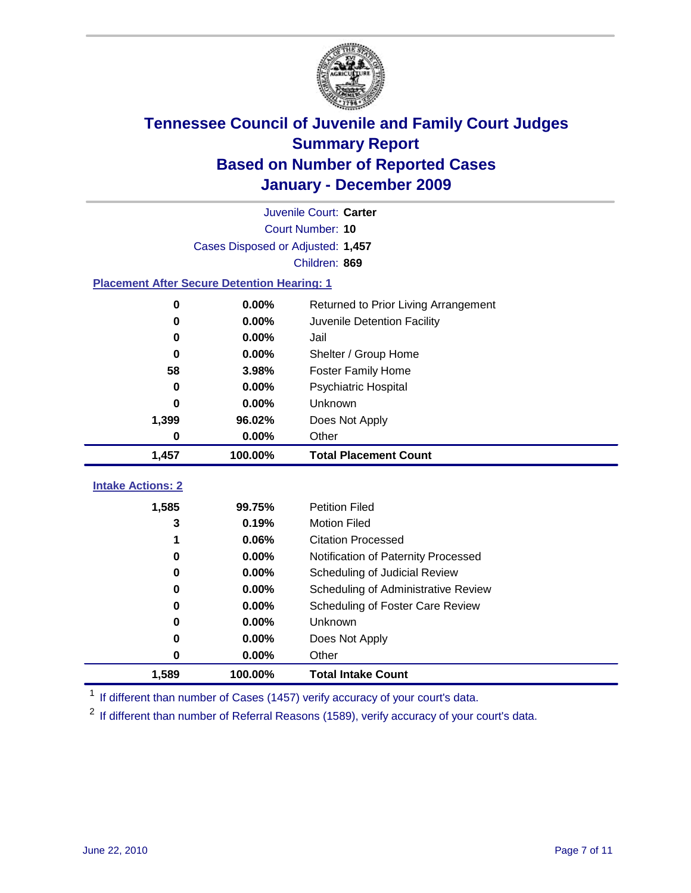

|                                                    | Juvenile Court: Carter            |                                      |  |  |  |
|----------------------------------------------------|-----------------------------------|--------------------------------------|--|--|--|
|                                                    | Court Number: 10                  |                                      |  |  |  |
|                                                    | Cases Disposed or Adjusted: 1,457 |                                      |  |  |  |
|                                                    |                                   | Children: 869                        |  |  |  |
| <b>Placement After Secure Detention Hearing: 1</b> |                                   |                                      |  |  |  |
| 0                                                  | 0.00%                             | Returned to Prior Living Arrangement |  |  |  |
| $\bf{0}$                                           | 0.00%                             | Juvenile Detention Facility          |  |  |  |
| $\bf{0}$                                           | 0.00%                             | Jail                                 |  |  |  |
| 0                                                  | 0.00%                             | Shelter / Group Home                 |  |  |  |
| 58                                                 | 3.98%                             | <b>Foster Family Home</b>            |  |  |  |
| $\bf{0}$                                           | 0.00%                             | Psychiatric Hospital                 |  |  |  |
| 0                                                  | 0.00%                             | Unknown                              |  |  |  |
| 1,399                                              | 96.02%                            | Does Not Apply                       |  |  |  |
| $\mathbf 0$                                        | 0.00%                             | Other                                |  |  |  |
| 1,457                                              | 100.00%                           | <b>Total Placement Count</b>         |  |  |  |
|                                                    |                                   |                                      |  |  |  |
| <b>Intake Actions: 2</b>                           |                                   |                                      |  |  |  |
| 1,585                                              | 99.75%                            | <b>Petition Filed</b>                |  |  |  |
| 3                                                  | 0.19%                             | <b>Motion Filed</b>                  |  |  |  |
| 1                                                  | 0.06%                             | <b>Citation Processed</b>            |  |  |  |
| $\bf{0}$                                           | 0.00%                             | Notification of Paternity Processed  |  |  |  |
| $\bf{0}$                                           | 0.00%                             | Scheduling of Judicial Review        |  |  |  |
| 0                                                  | 0.00%                             | Scheduling of Administrative Review  |  |  |  |
| 0                                                  | 0.00%                             | Scheduling of Foster Care Review     |  |  |  |
| $\bf{0}$                                           | 0.00%                             | Unknown                              |  |  |  |
| 0                                                  | 0.00%                             | Does Not Apply                       |  |  |  |
| 0                                                  | 0.00%                             | Other                                |  |  |  |
| 1,589                                              | 100.00%                           | <b>Total Intake Count</b>            |  |  |  |

<sup>1</sup> If different than number of Cases (1457) verify accuracy of your court's data.

<sup>2</sup> If different than number of Referral Reasons (1589), verify accuracy of your court's data.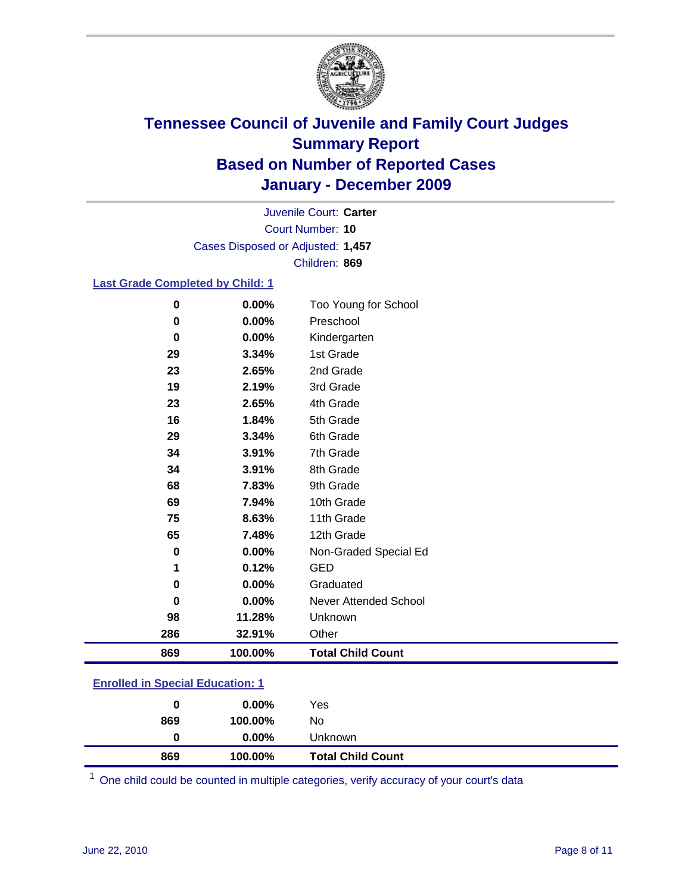

Court Number: **10** Juvenile Court: **Carter** Cases Disposed or Adjusted: **1,457** Children: **869**

#### **Last Grade Completed by Child: 1**

| 0        | 0.00%   | Too Young for School         |
|----------|---------|------------------------------|
| 0        | 0.00%   | Preschool                    |
| $\bf{0}$ | 0.00%   | Kindergarten                 |
| 29       | 3.34%   | 1st Grade                    |
| 23       | 2.65%   | 2nd Grade                    |
| 19       | 2.19%   | 3rd Grade                    |
| 23       | 2.65%   | 4th Grade                    |
| 16       | 1.84%   | 5th Grade                    |
| 29       | 3.34%   | 6th Grade                    |
| 34       | 3.91%   | 7th Grade                    |
| 34       | 3.91%   | 8th Grade                    |
| 68       | 7.83%   | 9th Grade                    |
| 69       | 7.94%   | 10th Grade                   |
| 75       | 8.63%   | 11th Grade                   |
| 65       | 7.48%   | 12th Grade                   |
| $\bf{0}$ | 0.00%   | Non-Graded Special Ed        |
| 1        | 0.12%   | <b>GED</b>                   |
| 0        | 0.00%   | Graduated                    |
| 0        | 0.00%   | <b>Never Attended School</b> |
| 98       | 11.28%  | Unknown                      |
| 286      | 32.91%  | Other                        |
| 869      | 100.00% | <b>Total Child Count</b>     |

### **Enrolled in Special Education: 1**

| 0   | $0.00\%$ | Yes                      |
|-----|----------|--------------------------|
| 869 | 100.00%  | No                       |
|     | $0.00\%$ | Unknown                  |
| 869 | 100.00%  | <b>Total Child Count</b> |

One child could be counted in multiple categories, verify accuracy of your court's data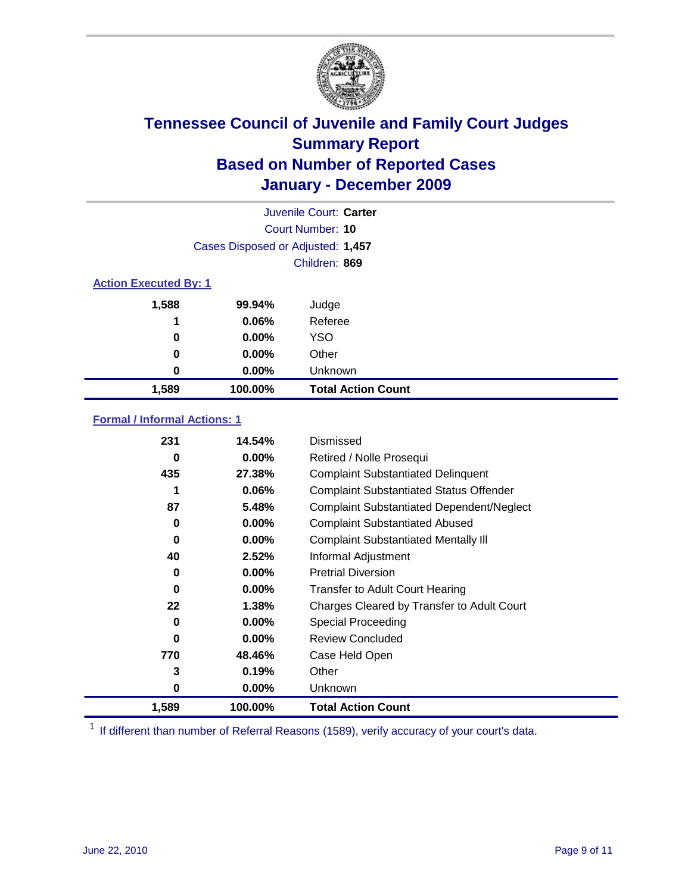

|                              | Juvenile Court: Carter            |                           |  |  |  |
|------------------------------|-----------------------------------|---------------------------|--|--|--|
|                              | Court Number: 10                  |                           |  |  |  |
|                              | Cases Disposed or Adjusted: 1,457 |                           |  |  |  |
|                              |                                   | Children: 869             |  |  |  |
| <b>Action Executed By: 1</b> |                                   |                           |  |  |  |
| 1,588                        | 99.94%                            | Judge                     |  |  |  |
| 1                            | 0.06%                             | Referee                   |  |  |  |
| 0                            | $0.00\%$                          | <b>YSO</b>                |  |  |  |
| 0                            | 0.00%                             | Other                     |  |  |  |
| 0                            | 0.00%                             | Unknown                   |  |  |  |
| 1,589                        | 100.00%                           | <b>Total Action Count</b> |  |  |  |

### **Formal / Informal Actions: 1**

| 231   | 14.54%   | Dismissed                                        |
|-------|----------|--------------------------------------------------|
| 0     | $0.00\%$ | Retired / Nolle Prosequi                         |
| 435   | 27.38%   | <b>Complaint Substantiated Delinquent</b>        |
|       | 0.06%    | <b>Complaint Substantiated Status Offender</b>   |
| 87    | 5.48%    | <b>Complaint Substantiated Dependent/Neglect</b> |
| 0     | $0.00\%$ | <b>Complaint Substantiated Abused</b>            |
| 0     | $0.00\%$ | <b>Complaint Substantiated Mentally III</b>      |
| 40    | 2.52%    | Informal Adjustment                              |
| 0     | $0.00\%$ | <b>Pretrial Diversion</b>                        |
| 0     | $0.00\%$ | <b>Transfer to Adult Court Hearing</b>           |
| 22    | 1.38%    | Charges Cleared by Transfer to Adult Court       |
| 0     | $0.00\%$ | Special Proceeding                               |
| 0     | $0.00\%$ | <b>Review Concluded</b>                          |
| 770   | 48.46%   | Case Held Open                                   |
| 3     | 0.19%    | Other                                            |
| 0     | $0.00\%$ | Unknown                                          |
| 1,589 | 100.00%  | <b>Total Action Count</b>                        |

<sup>1</sup> If different than number of Referral Reasons (1589), verify accuracy of your court's data.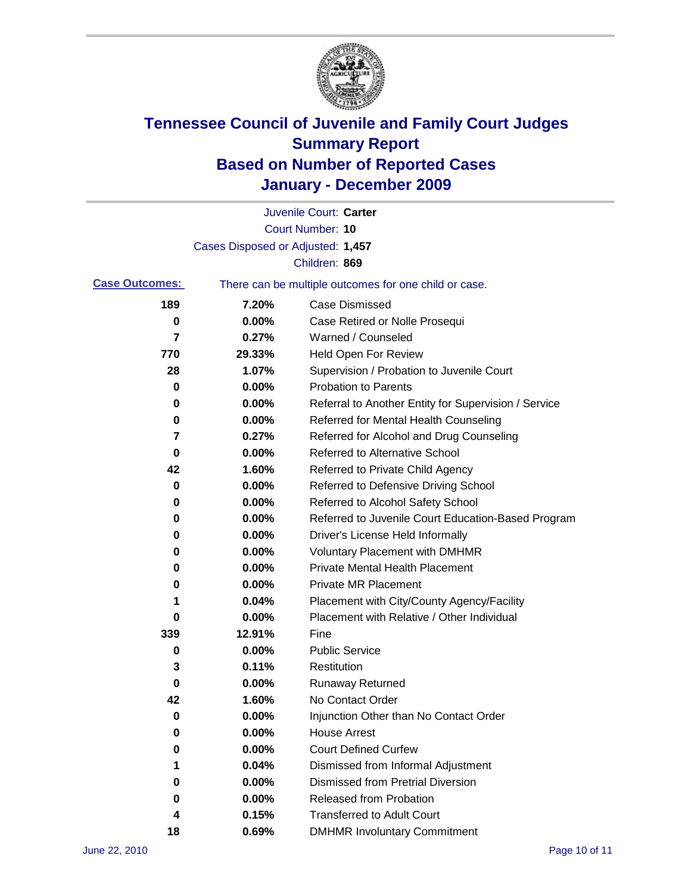

|                       |                                   | Juvenile Court: Carter                                |
|-----------------------|-----------------------------------|-------------------------------------------------------|
|                       |                                   | <b>Court Number: 10</b>                               |
|                       | Cases Disposed or Adjusted: 1,457 |                                                       |
|                       |                                   | Children: 869                                         |
| <b>Case Outcomes:</b> |                                   | There can be multiple outcomes for one child or case. |
| 189                   | 7.20%                             | <b>Case Dismissed</b>                                 |
| 0                     | 0.00%                             | Case Retired or Nolle Prosequi                        |
| 7                     | 0.27%                             | Warned / Counseled                                    |
| 770                   | 29.33%                            | Held Open For Review                                  |
| 28                    | 1.07%                             | Supervision / Probation to Juvenile Court             |
| 0                     | 0.00%                             | <b>Probation to Parents</b>                           |
| 0                     | 0.00%                             | Referral to Another Entity for Supervision / Service  |
| 0                     | 0.00%                             | Referred for Mental Health Counseling                 |
| 7                     | 0.27%                             | Referred for Alcohol and Drug Counseling              |
| 0                     | 0.00%                             | Referred to Alternative School                        |
| 42                    | 1.60%                             | Referred to Private Child Agency                      |
| 0                     | 0.00%                             | Referred to Defensive Driving School                  |
| 0                     | 0.00%                             | Referred to Alcohol Safety School                     |
| 0                     | 0.00%                             | Referred to Juvenile Court Education-Based Program    |
| 0                     | 0.00%                             | Driver's License Held Informally                      |
| 0                     | 0.00%                             | <b>Voluntary Placement with DMHMR</b>                 |
| 0                     | 0.00%                             | <b>Private Mental Health Placement</b>                |
| 0                     | 0.00%                             | <b>Private MR Placement</b>                           |
| 1                     | 0.04%                             | Placement with City/County Agency/Facility            |
| 0                     | 0.00%                             | Placement with Relative / Other Individual            |
| 339                   | 12.91%                            | Fine                                                  |
| 0                     | 0.00%                             | <b>Public Service</b>                                 |
| 3                     | 0.11%                             | Restitution                                           |
| 0                     | 0.00%                             | <b>Runaway Returned</b>                               |
| 42                    | 1.60%                             | No Contact Order                                      |
| 0                     | 0.00%                             | Injunction Other than No Contact Order                |
| 0                     | 0.00%                             | <b>House Arrest</b>                                   |
| 0                     | 0.00%                             | <b>Court Defined Curfew</b>                           |
| 1                     | 0.04%                             | Dismissed from Informal Adjustment                    |
| 0                     | 0.00%                             | <b>Dismissed from Pretrial Diversion</b>              |
| 0                     | 0.00%                             | Released from Probation                               |
| 4                     | 0.15%                             | <b>Transferred to Adult Court</b>                     |
| 18                    | 0.69%                             | <b>DMHMR Involuntary Commitment</b>                   |